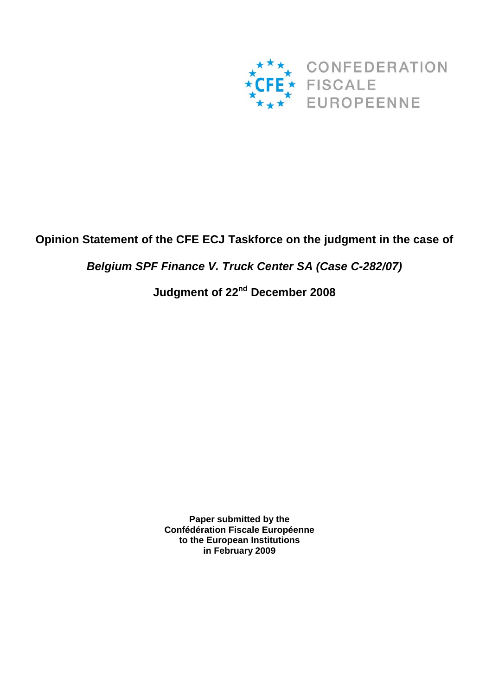

## **Opinion Statement of the CFE ECJ Taskforce on the judgment in the case of**

*Belgium SPF Finance V. Truck Center SA (Case C-282/07)*

# **Judgment of 22nd December 2008**

**Paper submitted by the Confédération Fiscale Européenne to the European Institutions in February 2009**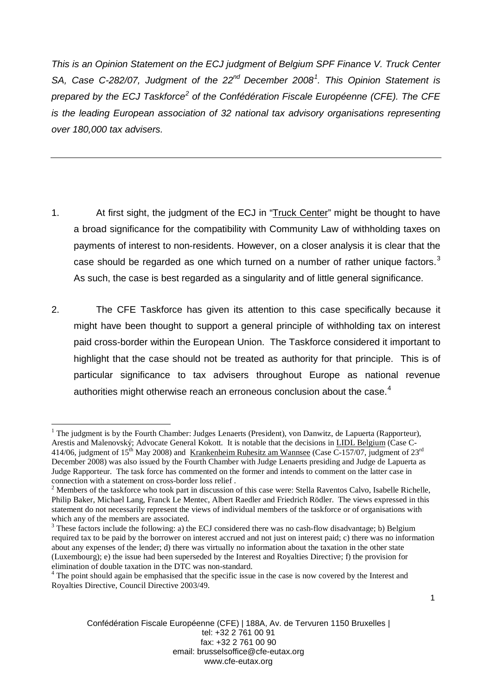*This is an Opinion Statement on the ECJ judgment of Belgium SPF Finance V. Truck Center SA, Case C-282/07, Judgment of the 22nd December 2008[1](#page-1-0) . This Opinion Statement is prepared by the ECJ Taskforce[2](#page-1-1) of the Confédération Fiscale Européenne (CFE). The CFE is the leading European association of 32 national tax advisory organisations representing over 180,000 tax advisers.*

- 1. At first sight, the judgment of the ECJ in "Truck Center" might be thought to have a broad significance for the compatibility with Community Law of withholding taxes on payments of interest to non-residents. However, on a closer analysis it is clear that the case should be regarded as one which turned on a number of rather unique factors. $3$ As such, the case is best regarded as a singularity and of little general significance.
- 2. The CFE Taskforce has given its attention to this case specifically because it might have been thought to support a general principle of withholding tax on interest paid cross-border within the European Union. The Taskforce considered it important to highlight that the case should not be treated as authority for that principle. This is of particular significance to tax advisers throughout Europe as national revenue authorities might otherwise reach an erroneous conclusion about the case.<sup>[4](#page-1-3)</sup>

<span id="page-1-0"></span><sup>&</sup>lt;sup>1</sup> The judgment is by the Fourth Chamber: Judges Lenaerts (President), von Danwitz, de Lapuerta (Rapporteur), Arestis and Malenovský; Advocate General Kokott. It is notable that the decisions in LIDL Belgium (Case C-414/06, judgment of 15<sup>th</sup> May 2008) and <u>Krankenheim Ruhesitz am Wannsee</u> (Case C-157/07, judgment of 23<sup>rd</sup> December 2008) was also issued by the Fourth Chamber with Judge Lenaerts presiding and Judge de Lapuerta as Judge Rapporteur. The task force has commented on the former and intends to comment on the latter case in

<span id="page-1-1"></span>connection with a statement on cross-border loss relief . 2 Members of the taskforce who took part in discussion of this case were: Stella Raventos Calvo, Isabelle Richelle, Philip Baker, Michael Lang, Franck Le Mentec, Albert Raedler and Friedrich Rödler. The views expressed in this statement do not necessarily represent the views of individual members of the taskforce or of organisations with which any of the members are associated.<br><sup>3</sup> These factors include the following: a) the ECJ considered there was no cash-flow disadvantage; b) Belgium

<span id="page-1-2"></span>required tax to be paid by the borrower on interest accrued and not just on interest paid; c) there was no information about any expenses of the lender; d) there was virtually no information about the taxation in the other state (Luxembourg); e) the issue had been superseded by the Interest and Royalties Directive; f) the provision for

<span id="page-1-3"></span> $\frac{4}{1}$  The point should again be emphasised that the specific issue in the case is now covered by the Interest and Royalties Directive, Council Directive 2003/49.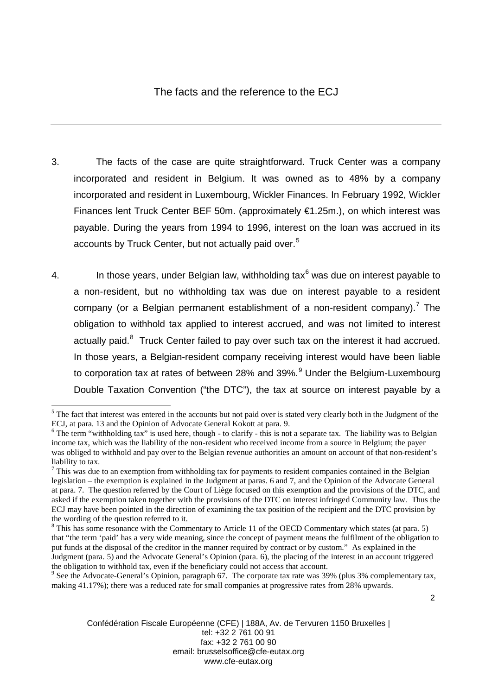### The facts and the reference to the ECJ

- 3. The facts of the case are quite straightforward. Truck Center was a company incorporated and resident in Belgium. It was owned as to 48% by a company incorporated and resident in Luxembourg, Wickler Finances. In February 1992, Wickler Finances lent Truck Center BEF 50m. (approximately €1.25m.), on which interest was payable. During the years from 1994 to 1996, interest on the loan was accrued in its accounts by Truck Center, but not actually paid over.<sup>[5](#page-2-0)</sup>
- 4. In those years, under Belgian law, withholding tax $<sup>6</sup>$  $<sup>6</sup>$  $<sup>6</sup>$  was due on interest payable to</sup> a non-resident, but no withholding tax was due on interest payable to a resident company (or a Belgian permanent establishment of a non-resident company).<sup>[7](#page-2-2)</sup> The obligation to withhold tax applied to interest accrued, and was not limited to interest actually paid.<sup>[8](#page-2-3)</sup> Truck Center failed to pay over such tax on the interest it had accrued. In those years, a Belgian-resident company receiving interest would have been liable to corporation tax at rates of between 28% and 3[9](#page-2-4)%.<sup>9</sup> Under the Belgium-Luxembourg Double Taxation Convention ("the DTC"), the tax at source on interest payable by a

<span id="page-2-4"></span><sup>9</sup> See the Advocate-General's Opinion, paragraph 67. The corporate tax rate was 39% (plus 3% complementary tax, making 41.17%); there was a reduced rate for small companies at progressive rates from 28% upwards.

<span id="page-2-0"></span><sup>&</sup>lt;sup>5</sup> The fact that interest was entered in the accounts but not paid over is stated very clearly both in the Judgment of the ECJ, at para. 13 and the Opinion of Advocate General Kokott at para. 9.

<span id="page-2-1"></span> $6$  The term "withholding tax" is used here, though - to clarify - this is not a separate tax. The liability was to Belgian income tax, which was the liability of the non-resident who received income from a source in Belgium; the payer was obliged to withhold and pay over to the Belgian revenue authorities an amount on account of that non-resident's liability to tax.

<span id="page-2-2"></span> $<sup>7</sup>$  This was due to an exemption from withholding tax for payments to resident companies contained in the Belgian</sup> legislation – the exemption is explained in the Judgment at paras. 6 and 7, and the Opinion of the Advocate General at para. 7. The question referred by the Court of Liège focused on this exemption and the provisions of the DTC, and asked if the exemption taken together with the provisions of the DTC on interest infringed Community law. Thus the ECJ may have been pointed in the direction of examining the tax position of the recipient and the DTC provision by the wording of the question referred to it.

<span id="page-2-3"></span><sup>&</sup>lt;sup>8</sup> This has some resonance with the Commentary to Article 11 of the OECD Commentary which states (at para. 5) that "the term 'paid' has a very wide meaning, since the concept of payment means the fulfilment of the obligation to put funds at the disposal of the creditor in the manner required by contract or by custom." As explained in the Judgment (para. 5) and the Advocate General's Opinion (para. 6), the placing of the interest in an account triggered the obligation to withhold tax, even if the beneficiary could not access that account.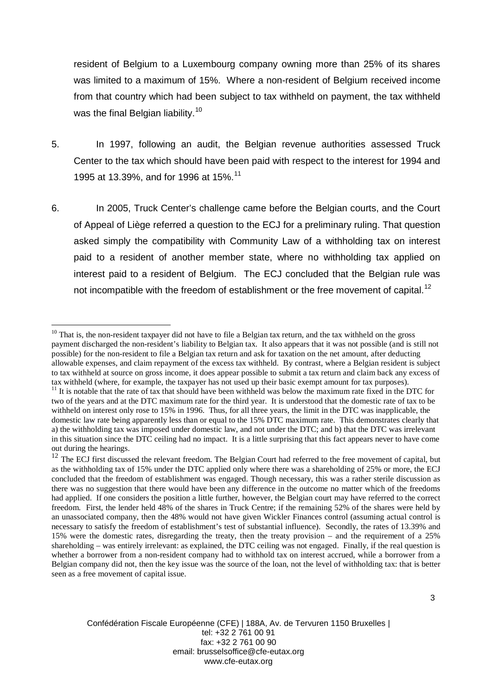resident of Belgium to a Luxembourg company owning more than 25% of its shares was limited to a maximum of 15%. Where a non-resident of Belgium received income from that country which had been subject to tax withheld on payment, the tax withheld was the final Belgian liability.<sup>[10](#page-3-0)</sup>

- 5. In 1997, following an audit, the Belgian revenue authorities assessed Truck Center to the tax which should have been paid with respect to the interest for 1994 and 1995 at 13.39%, and for 1996 at 15%.<sup>[11](#page-3-1)</sup>
- 6. In 2005, Truck Center's challenge came before the Belgian courts, and the Court of Appeal of Liège referred a question to the ECJ for a preliminary ruling. That question asked simply the compatibility with Community Law of a withholding tax on interest paid to a resident of another member state, where no withholding tax applied on interest paid to a resident of Belgium. The ECJ concluded that the Belgian rule was not incompatible with the freedom of establishment or the free movement of capital.<sup>[12](#page-3-2)</sup>

<span id="page-3-0"></span> $10$  That is, the non-resident taxpayer did not have to file a Belgian tax return, and the tax withheld on the gross payment discharged the non-resident's liability to Belgian tax. It also appears that it was not possible (and is still not possible) for the non-resident to file a Belgian tax return and ask for taxation on the net amount, after deducting allowable expenses, and claim repayment of the excess tax withheld. By contrast, where a Belgian resident is subject to tax withheld at source on gross income, it does appear possible to submit a tax return and claim back any excess of tax withheld (where, for example, the taxpayer has not used up their basic exempt amount for tax purposes).

<span id="page-3-1"></span><sup>&</sup>lt;sup>11</sup> It is notable that the rate of tax that should have been withheld was below the maximum rate fixed in the DTC for two of the years and at the DTC maximum rate for the third year. It is understood that the domestic rate of tax to be withheld on interest only rose to 15% in 1996. Thus, for all three years, the limit in the DTC was inapplicable, the domestic law rate being apparently less than or equal to the 15% DTC maximum rate. This demonstrates clearly that a) the withholding tax was imposed under domestic law, and not under the DTC; and b) that the DTC was irrelevant in this situation since the DTC ceiling had no impact. It is a little surprising that this fact appears never to have come out during the hearings.

<span id="page-3-2"></span><sup>&</sup>lt;sup>12</sup> The ECJ first discussed the relevant freedom. The Belgian Court had referred to the free movement of capital, but as the withholding tax of 15% under the DTC applied only where there was a shareholding of 25% or more, the ECJ concluded that the freedom of establishment was engaged. Though necessary, this was a rather sterile discussion as there was no suggestion that there would have been any difference in the outcome no matter which of the freedoms had applied. If one considers the position a little further, however, the Belgian court may have referred to the correct freedom. First, the lender held 48% of the shares in Truck Centre; if the remaining 52% of the shares were held by an unassociated company, then the 48% would not have given Wickler Finances control (assuming actual control is necessary to satisfy the freedom of establishment's test of substantial influence). Secondly, the rates of 13.39% and 15% were the domestic rates, disregarding the treaty, then the treaty provision – and the requirement of a 25% shareholding – was entirely irrelevant: as explained, the DTC ceiling was not engaged. Finally, if the real question is whether a borrower from a non-resident company had to withhold tax on interest accrued, while a borrower from a Belgian company did not, then the key issue was the source of the loan, not the level of withholding tax: that is better seen as a free movement of capital issue.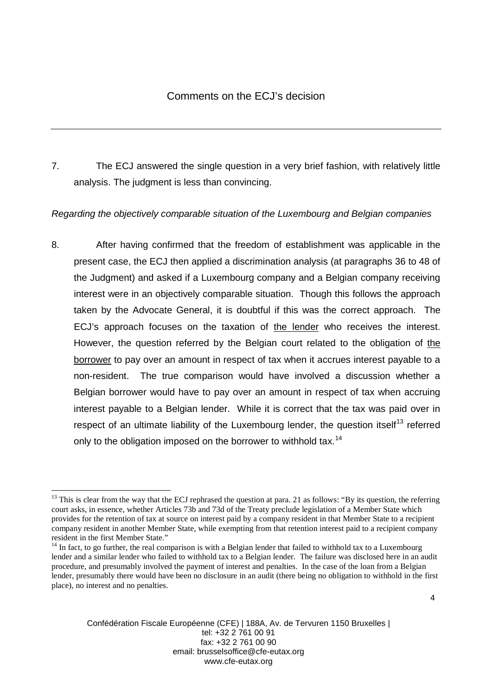7. The ECJ answered the single question in a very brief fashion, with relatively little analysis. The judgment is less than convincing.

### *Regarding the objectively comparable situation of the Luxembourg and Belgian companies*

8. After having confirmed that the freedom of establishment was applicable in the present case, the ECJ then applied a discrimination analysis (at paragraphs 36 to 48 of the Judgment) and asked if a Luxembourg company and a Belgian company receiving interest were in an objectively comparable situation. Though this follows the approach taken by the Advocate General, it is doubtful if this was the correct approach. The ECJ's approach focuses on the taxation of the lender who receives the interest. However, the question referred by the Belgian court related to the obligation of the borrower to pay over an amount in respect of tax when it accrues interest payable to a non-resident. The true comparison would have involved a discussion whether a Belgian borrower would have to pay over an amount in respect of tax when accruing interest payable to a Belgian lender. While it is correct that the tax was paid over in respect of an ultimate liability of the Luxembourg lender, the question itself<sup>[13](#page-4-0)</sup> referred only to the obligation imposed on the borrower to withhold tax.<sup>[14](#page-4-1)</sup>

<span id="page-4-0"></span> $13$  This is clear from the way that the ECJ rephrased the question at para. 21 as follows: "By its question, the referring court asks, in essence, whether Articles 73b and 73d of the Treaty preclude legislation of a Member State which provides for the retention of tax at source on interest paid by a company resident in that Member State to a recipient company resident in another Member State, while exempting from that retention interest paid to a recipient company resident in the first Member State."

<span id="page-4-1"></span> $14$  In fact, to go further, the real comparison is with a Belgian lender that failed to withhold tax to a Luxembourg lender and a similar lender who failed to withhold tax to a Belgian lender. The failure was disclosed here in an audit procedure, and presumably involved the payment of interest and penalties. In the case of the loan from a Belgian lender, presumably there would have been no disclosure in an audit (there being no obligation to withhold in the first place), no interest and no penalties.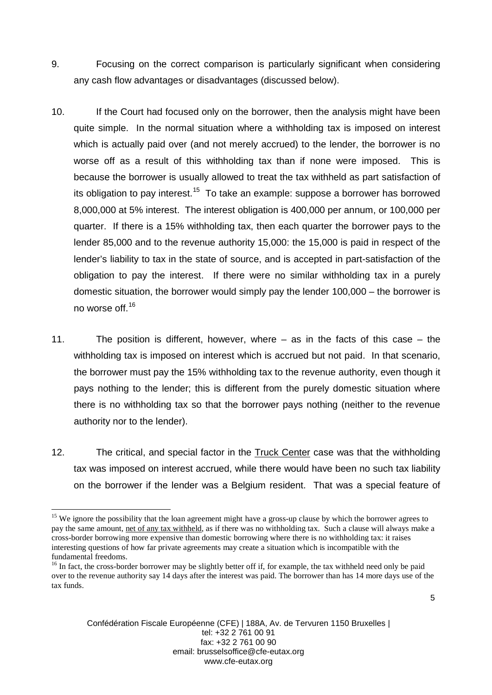- 9. Focusing on the correct comparison is particularly significant when considering any cash flow advantages or disadvantages (discussed below).
- 10. If the Court had focused only on the borrower, then the analysis might have been quite simple. In the normal situation where a withholding tax is imposed on interest which is actually paid over (and not merely accrued) to the lender, the borrower is no worse off as a result of this withholding tax than if none were imposed. This is because the borrower is usually allowed to treat the tax withheld as part satisfaction of its obligation to pay interest.<sup>15</sup> To take an example: suppose a borrower has borrowed 8,000,000 at 5% interest. The interest obligation is 400,000 per annum, or 100,000 per quarter. If there is a 15% withholding tax, then each quarter the borrower pays to the lender 85,000 and to the revenue authority 15,000: the 15,000 is paid in respect of the lender's liability to tax in the state of source, and is accepted in part-satisfaction of the obligation to pay the interest. If there were no similar withholding tax in a purely domestic situation, the borrower would simply pay the lender 100,000 – the borrower is no worse off.[16](#page-5-1)
- 11. The position is different, however, where as in the facts of this case the withholding tax is imposed on interest which is accrued but not paid. In that scenario, the borrower must pay the 15% withholding tax to the revenue authority, even though it pays nothing to the lender; this is different from the purely domestic situation where there is no withholding tax so that the borrower pays nothing (neither to the revenue authority nor to the lender).
- 12. The critical, and special factor in the Truck Center case was that the withholding tax was imposed on interest accrued, while there would have been no such tax liability on the borrower if the lender was a Belgium resident. That was a special feature of

<span id="page-5-0"></span><sup>&</sup>lt;sup>15</sup> We ignore the possibility that the loan agreement might have a gross-up clause by which the borrower agrees to pay the same amount, net of any tax withheld, as if there was no withholding tax. Such a clause will always make a cross-border borrowing more expensive than domestic borrowing where there is no withholding tax: it raises interesting questions of how far private agreements may create a situation which is incompatible with the fundamental freedoms.

<span id="page-5-1"></span><sup>&</sup>lt;sup>16</sup> In fact, the cross-border borrower may be slightly better off if, for example, the tax withheld need only be paid over to the revenue authority say 14 days after the interest was paid. The borrower than has 14 more days use of the tax funds.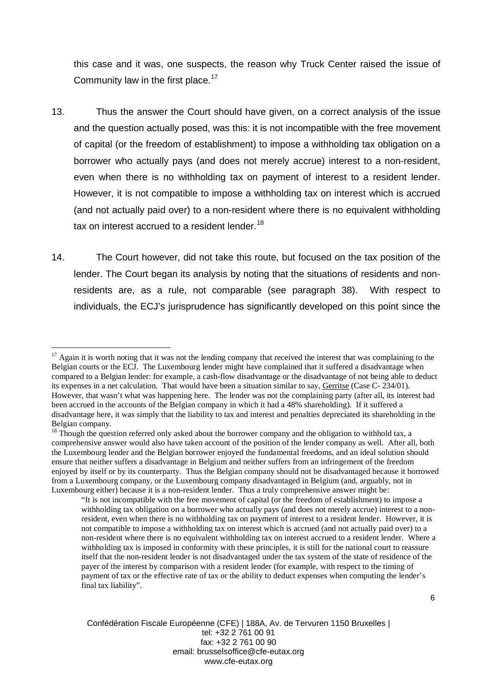this case and it was, one suspects, the reason why Truck Center raised the issue of Community law in the first place.<sup>[17](#page-6-0)</sup>

- 13. Thus the answer the Court should have given, on a correct analysis of the issue and the question actually posed, was this: it is not incompatible with the free movement of capital (or the freedom of establishment) to impose a withholding tax obligation on a borrower who actually pays (and does not merely accrue) interest to a non-resident, even when there is no withholding tax on payment of interest to a resident lender. However, it is not compatible to impose a withholding tax on interest which is accrued (and not actually paid over) to a non-resident where there is no equivalent withholding tax on interest accrued to a resident lender.<sup>[18](#page-6-1)</sup>
- 14. The Court however, did not take this route, but focused on the tax position of the lender. The Court began its analysis by noting that the situations of residents and nonresidents are, as a rule, not comparable (see paragraph 38). With respect to individuals, the ECJ's jurisprudence has significantly developed on this point since the

Confédération Fiscale Européenne (CFE) | 188A, Av. de Tervuren 1150 Bruxelles | tel: +32 2 761 00 91 fax: +32 2 761 00 90 email: brusselsoffice@cfe-eutax.org www.cfe-eutax.org

<span id="page-6-0"></span> $17$  Again it is worth noting that it was not the lending company that received the interest that was complaining to the Belgian courts or the ECJ. The Luxembourg lender might have complained that it suffered a disadvantage when compared to a Belgian lender: for example, a cash-flow disadvantage or the disadvantage of not being able to deduct its expenses in a net calculation. That would have been a situation similar to say, Gerritse (Case C- 234/01). However, that wasn't what was happening here. The lender was not the complaining party (after all, its interest had been accrued in the accounts of the Belgian company in which it had a 48% shareholding). If it suffered a disadvantage here, it was simply that the liability to tax and interest and penalties depreciated its shareholding in the Belgian company.

<span id="page-6-1"></span><sup>&</sup>lt;sup>18</sup> Though the question referred only asked about the borrower company and the obligation to withhold tax, a comprehensive answer would also have taken account of the position of the lender company as well. After all, both the Luxembourg lender and the Belgian borrower enjoyed the fundamental freedoms, and an ideal solution should ensure that neither suffers a disadvantage in Belgium and neither suffers from an infringement of the freedom enjoyed by itself or by its counterparty. Thus the Belgian company should not be disadvantaged because it borrowed from a Luxembourg company, or the Luxembourg company disadvantaged in Belgium (and, arguably, not in Luxembourg either) because it is a non-resident lender. Thus a truly comprehensive answer might be:

<sup>&</sup>quot;It is not incompatible with the free movement of capital (or the freedom of establishment) to impose a withholding tax obligation on a borrower who actually pays (and does not merely accrue) interest to a nonresident, even when there is no withholding tax on payment of interest to a resident lender. However, it is not compatible to impose a withholding tax on interest which is accrued (and not actually paid over) to a non-resident where there is no equivalent withholding tax on interest accrued to a resident lender. Where a withholding tax is imposed in conformity with these principles, it is still for the national court to reassure itself that the non-resident lender is not disadvantaged under the tax system of the state of residence of the payer of the interest by comparison with a resident lender (for example, with respect to the timing of payment of tax or the effective rate of tax or the ability to deduct expenses when computing the lender's final tax liability".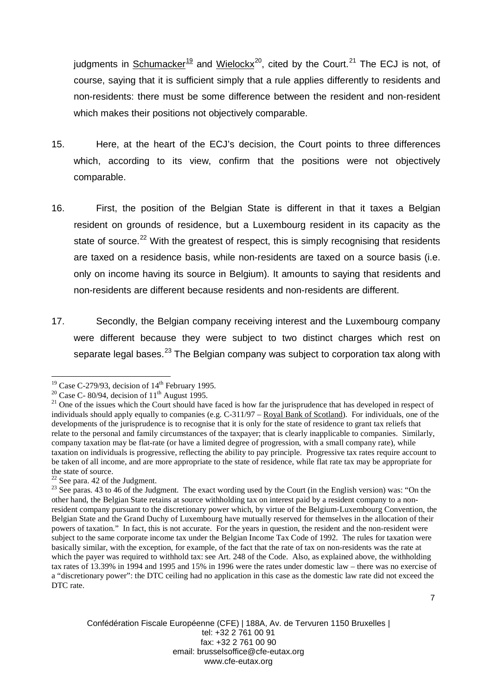judgments in <u>Schumacker<sup>[19](#page-7-0)</sup></u> and Wielockx<sup>20</sup>, cited by the Court.<sup>[21](#page-7-2)</sup> The ECJ is not, of course, saying that it is sufficient simply that a rule applies differently to residents and non-residents: there must be some difference between the resident and non-resident which makes their positions not objectively comparable.

- 15. Here, at the heart of the ECJ's decision, the Court points to three differences which, according to its view, confirm that the positions were not objectively comparable.
- 16. First, the position of the Belgian State is different in that it taxes a Belgian resident on grounds of residence, but a Luxembourg resident in its capacity as the state of source.<sup>[22](#page-7-3)</sup> With the greatest of respect, this is simply recognising that residents are taxed on a residence basis, while non-residents are taxed on a source basis (i.e. only on income having its source in Belgium). It amounts to saying that residents and non-residents are different because residents and non-residents are different.
- 17. Secondly, the Belgian company receiving interest and the Luxembourg company were different because they were subject to two distinct charges which rest on separate legal bases.<sup>[23](#page-7-4)</sup> The Belgian company was subject to corporation tax along with

<span id="page-7-2"></span><span id="page-7-1"></span>

<span id="page-7-0"></span><sup>&</sup>lt;sup>19</sup> Case C-279/93, decision of 14<sup>th</sup> February 1995.<br><sup>20</sup> Case C- 80/94, decision of 11<sup>th</sup> August 1995.<br><sup>21</sup> One of the issues which the Court should have faced is how far the jurisprudence that has developed in respect individuals should apply equally to companies (e.g. C-311/97 – Royal Bank of Scotland). For individuals, one of the developments of the jurisprudence is to recognise that it is only for the state of residence to grant tax reliefs that relate to the personal and family circumstances of the taxpayer; that is clearly inapplicable to companies. Similarly, company taxation may be flat-rate (or have a limited degree of progression, with a small company rate), while taxation on individuals is progressive, reflecting the ability to pay principle. Progressive tax rates require account to be taken of all income, and are more appropriate to the state of residence, while flat rate tax may be appropriate for

the state of source.<br> $22$  See para. 42 of the Judgment.

<span id="page-7-4"></span><span id="page-7-3"></span><sup>&</sup>lt;sup>23</sup> See paras. 43 to 46 of the Judgment. The exact wording used by the Court (in the English version) was: "On the other hand, the Belgian State retains at source withholding tax on interest paid by a resident company to a nonresident company pursuant to the discretionary power which, by virtue of the Belgium-Luxembourg Convention, the Belgian State and the Grand Duchy of Luxembourg have mutually reserved for themselves in the allocation of their powers of taxation." In fact, this is not accurate. For the years in question, the resident and the non-resident were subject to the same corporate income tax under the Belgian Income Tax Code of 1992. The rules for taxation were basically similar, with the exception, for example, of the fact that the rate of tax on non-residents was the rate at which the payer was required to withhold tax: see Art. 248 of the Code. Also, as explained above, the withholding tax rates of 13.39% in 1994 and 1995 and 15% in 1996 were the rates under domestic law – there was no exercise of a "discretionary power": the DTC ceiling had no application in this case as the domestic law rate did not exceed the DTC rate.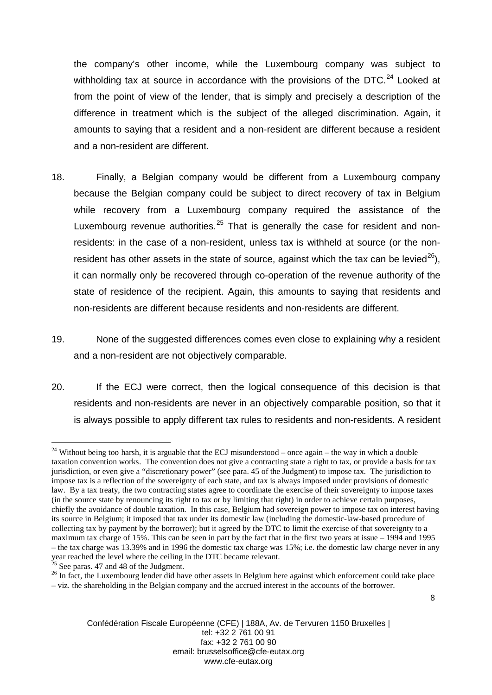the company's other income, while the Luxembourg company was subject to withholding tax at source in accordance with the provisions of the DTC. $^{24}$  $^{24}$  $^{24}$  Looked at from the point of view of the lender, that is simply and precisely a description of the difference in treatment which is the subject of the alleged discrimination. Again, it amounts to saying that a resident and a non-resident are different because a resident and a non-resident are different.

- 18. Finally, a Belgian company would be different from a Luxembourg company because the Belgian company could be subject to direct recovery of tax in Belgium while recovery from a Luxembourg company required the assistance of the Luxembourg revenue authorities.<sup>[25](#page-8-1)</sup> That is generally the case for resident and nonresidents: in the case of a non-resident, unless tax is withheld at source (or the non-resident has other assets in the state of source, against which the tax can be levied<sup>[26](#page-8-2)</sup>), it can normally only be recovered through co-operation of the revenue authority of the state of residence of the recipient. Again, this amounts to saying that residents and non-residents are different because residents and non-residents are different.
- 19. None of the suggested differences comes even close to explaining why a resident and a non-resident are not objectively comparable.
- 20. If the ECJ were correct, then the logical consequence of this decision is that residents and non-residents are never in an objectively comparable position, so that it is always possible to apply different tax rules to residents and non-residents. A resident

<span id="page-8-0"></span> $24$  Without being too harsh, it is arguable that the ECJ misunderstood – once again – the way in which a double taxation convention works. The convention does not give a contracting state a right to tax, or provide a basis for tax jurisdiction, or even give a "discretionary power" (see para. 45 of the Judgment) to impose tax. The jurisdiction to impose tax is a reflection of the sovereignty of each state, and tax is always imposed under provisions of domestic law. By a tax treaty, the two contracting states agree to coordinate the exercise of their sovereignty to impose taxes (in the source state by renouncing its right to tax or by limiting that right) in order to achieve certain purposes, chiefly the avoidance of double taxation. In this case, Belgium had sovereign power to impose tax on interest having its source in Belgium; it imposed that tax under its domestic law (including the domestic-law-based procedure of collecting tax by payment by the borrower); but it agreed by the DTC to limit the exercise of that sovereignty to a maximum tax charge of 15%. This can be seen in part by the fact that in the first two years at issue – 1994 and 1995 – the tax charge was 13.39% and in 1996 the domestic tax charge was 15%; i.e. the domestic law charge never in any year reached the level where the ceiling in the DTC became relevant.<br><sup>25</sup> See paras. 47 and 48 of the Judgment.

<span id="page-8-1"></span>

<span id="page-8-2"></span><sup>&</sup>lt;sup>26</sup> In fact, the Luxembourg lender did have other assets in Belgium here against which enforcement could take place – viz. the shareholding in the Belgian company and the accrued interest in the accounts of the borrower.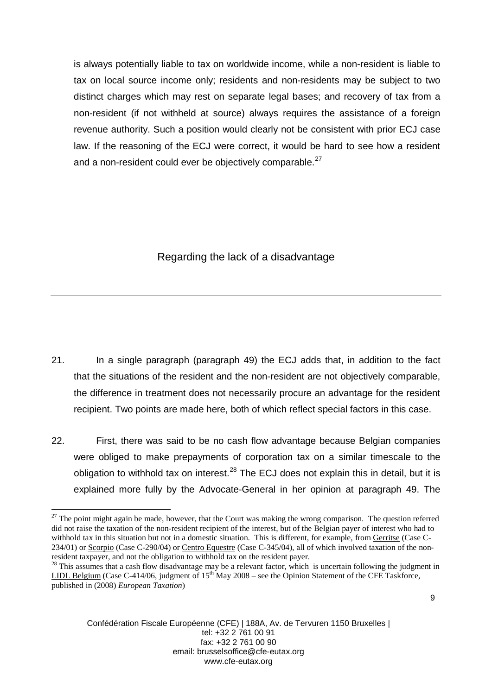is always potentially liable to tax on worldwide income, while a non-resident is liable to tax on local source income only; residents and non-residents may be subject to two distinct charges which may rest on separate legal bases; and recovery of tax from a non-resident (if not withheld at source) always requires the assistance of a foreign revenue authority. Such a position would clearly not be consistent with prior ECJ case law. If the reasoning of the ECJ were correct, it would be hard to see how a resident and a non-resident could ever be objectively comparable.<sup>[27](#page-9-0)</sup>

### Regarding the lack of a disadvantage

- 21. In a single paragraph (paragraph 49) the ECJ adds that, in addition to the fact that the situations of the resident and the non-resident are not objectively comparable, the difference in treatment does not necessarily procure an advantage for the resident recipient. Two points are made here, both of which reflect special factors in this case.
- 22. First, there was said to be no cash flow advantage because Belgian companies were obliged to make prepayments of corporation tax on a similar timescale to the obligation to withhold tax on interest.<sup>[28](#page-9-1)</sup> The ECJ does not explain this in detail, but it is explained more fully by the Advocate-General in her opinion at paragraph 49. The

<span id="page-9-0"></span> $27$  The point might again be made, however, that the Court was making the wrong comparison. The question referred did not raise the taxation of the non-resident recipient of the interest, but of the Belgian payer of interest who had to withhold tax in this situation but not in a domestic situation. This is different, for example, from Gerritse (Case C-234/01) or Scorpio (Case C-290/04) or Centro Equestre (Case C-345/04), all of which involved taxation of the nonresident taxpayer, and not the obligation to withhold tax on the resident payer.

<span id="page-9-1"></span> $28$  This assumes that a cash flow disadvantage may be a relevant factor, which is uncertain following the judgment in LIDL Belgium (Case C-414/06, judgment of  $15<sup>th</sup>$  May 2008 – see the Opinion Statement of the CFE Taskforce, published in (2008) *European Taxation*)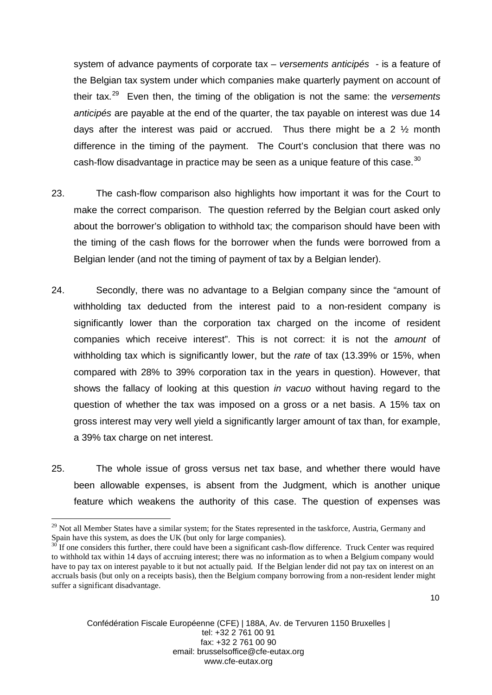system of advance payments of corporate tax – *versements anticipés -* is a feature of the Belgian tax system under which companies make quarterly payment on account of their tax.[29](#page-10-0) Even then, the timing of the obligation is not the same: the *versements anticipés* are payable at the end of the quarter, the tax payable on interest was due 14 days after the interest was paid or accrued. Thus there might be a 2 ½ month difference in the timing of the payment. The Court's conclusion that there was no cash-flow disadvantage in practice may be seen as a unique feature of this case. $30$ 

- 23. The cash-flow comparison also highlights how important it was for the Court to make the correct comparison. The question referred by the Belgian court asked only about the borrower's obligation to withhold tax; the comparison should have been with the timing of the cash flows for the borrower when the funds were borrowed from a Belgian lender (and not the timing of payment of tax by a Belgian lender).
- 24. Secondly, there was no advantage to a Belgian company since the "amount of withholding tax deducted from the interest paid to a non-resident company is significantly lower than the corporation tax charged on the income of resident companies which receive interest". This is not correct: it is not the *amount* of withholding tax which is significantly lower, but the *rate* of tax (13.39% or 15%, when compared with 28% to 39% corporation tax in the years in question). However, that shows the fallacy of looking at this question *in vacuo* without having regard to the question of whether the tax was imposed on a gross or a net basis. A 15% tax on gross interest may very well yield a significantly larger amount of tax than, for example, a 39% tax charge on net interest.
- 25. The whole issue of gross versus net tax base, and whether there would have been allowable expenses, is absent from the Judgment, which is another unique feature which weakens the authority of this case. The question of expenses was

<span id="page-10-0"></span><sup>&</sup>lt;sup>29</sup> Not all Member States have a similar system; for the States represented in the taskforce, Austria, Germany and Spain have this system, as does the UK (but only for large companies).

<span id="page-10-1"></span>If one considers this further, there could have been a significant cash-flow difference. Truck Center was required to withhold tax within 14 days of accruing interest; there was no information as to when a Belgium company would have to pay tax on interest payable to it but not actually paid. If the Belgian lender did not pay tax on interest on an accruals basis (but only on a receipts basis), then the Belgium company borrowing from a non-resident lender might suffer a significant disadvantage.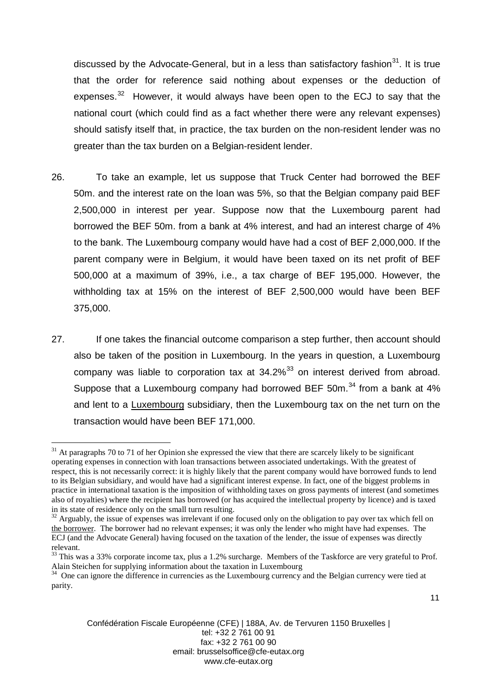discussed by the Advocate-General, but in a less than satisfactory fashion<sup>[31](#page-11-0)</sup>. It is true that the order for reference said nothing about expenses or the deduction of expenses.<sup>[32](#page-11-1)</sup> However, it would always have been open to the ECJ to say that the national court (which could find as a fact whether there were any relevant expenses) should satisfy itself that, in practice, the tax burden on the non-resident lender was no greater than the tax burden on a Belgian-resident lender.

- 26. To take an example, let us suppose that Truck Center had borrowed the BEF 50m. and the interest rate on the loan was 5%, so that the Belgian company paid BEF 2,500,000 in interest per year. Suppose now that the Luxembourg parent had borrowed the BEF 50m. from a bank at 4% interest, and had an interest charge of 4% to the bank. The Luxembourg company would have had a cost of BEF 2,000,000. If the parent company were in Belgium, it would have been taxed on its net profit of BEF 500,000 at a maximum of 39%, i.e., a tax charge of BEF 195,000. However, the withholding tax at 15% on the interest of BEF 2,500,000 would have been BEF 375,000.
- 27. If one takes the financial outcome comparison a step further, then account should also be taken of the position in Luxembourg. In the years in question, a Luxembourg company was liable to corporation tax at  $34.2\%$ <sup>[33](#page-11-2)</sup> on interest derived from abroad. Suppose that a Luxembourg company had borrowed BEF 50m. $34$  from a bank at 4% and lent to a Luxembourg subsidiary, then the Luxembourg tax on the net turn on the transaction would have been BEF 171,000.

<span id="page-11-0"></span> $31$  At paragraphs 70 to 71 of her Opinion she expressed the view that there are scarcely likely to be significant operating expenses in connection with loan transactions between associated undertakings. With the greatest of respect, this is not necessarily correct: it is highly likely that the parent company would have borrowed funds to lend to its Belgian subsidiary, and would have had a significant interest expense. In fact, one of the biggest problems in practice in international taxation is the imposition of withholding taxes on gross payments of interest (and sometimes also of royalties) where the recipient has borrowed (or has acquired the intellectual property by licence) and is taxed in its state of residence only on the small turn resulting.

<span id="page-11-1"></span> $32$  Arguably, the issue of expenses was irrelevant if one focused only on the obligation to pay over tax which fell on the borrower. The borrower had no relevant expenses; it was only the lender who might have had expenses. The ECJ (and the Advocate General) having focused on the taxation of the lender, the issue of expenses was directly relevant.

<span id="page-11-2"></span> $33$  This was a 33% corporate income tax, plus a 1.2% surcharge. Members of the Taskforce are very grateful to Prof. Alain Steichen for supplying information about the taxation in Luxembourg

<span id="page-11-3"></span><sup>&</sup>lt;sup>34</sup> One can ignore the difference in currencies as the Luxembourg currency and the Belgian currency were tied at parity.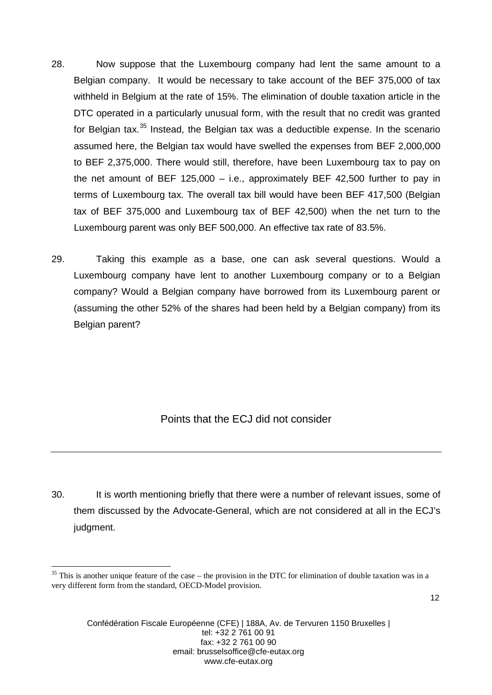- 28. Now suppose that the Luxembourg company had lent the same amount to a Belgian company. It would be necessary to take account of the BEF 375,000 of tax withheld in Belgium at the rate of 15%. The elimination of double taxation article in the DTC operated in a particularly unusual form, with the result that no credit was granted for Belgian tax.<sup>[35](#page-12-0)</sup> Instead, the Belgian tax was a deductible expense. In the scenario assumed here, the Belgian tax would have swelled the expenses from BEF 2,000,000 to BEF 2,375,000. There would still, therefore, have been Luxembourg tax to pay on the net amount of BEF 125,000 – i.e., approximately BEF 42,500 further to pay in terms of Luxembourg tax. The overall tax bill would have been BEF 417,500 (Belgian tax of BEF 375,000 and Luxembourg tax of BEF 42,500) when the net turn to the Luxembourg parent was only BEF 500,000. An effective tax rate of 83.5%.
- 29. Taking this example as a base, one can ask several questions. Would a Luxembourg company have lent to another Luxembourg company or to a Belgian company? Would a Belgian company have borrowed from its Luxembourg parent or (assuming the other 52% of the shares had been held by a Belgian company) from its Belgian parent?

Points that the ECJ did not consider

30. It is worth mentioning briefly that there were a number of relevant issues, some of them discussed by the Advocate-General, which are not considered at all in the ECJ's judgment.

<span id="page-12-0"></span> $35$  This is another unique feature of the case – the provision in the DTC for elimination of double taxation was in a very different form from the standard, OECD-Model provision.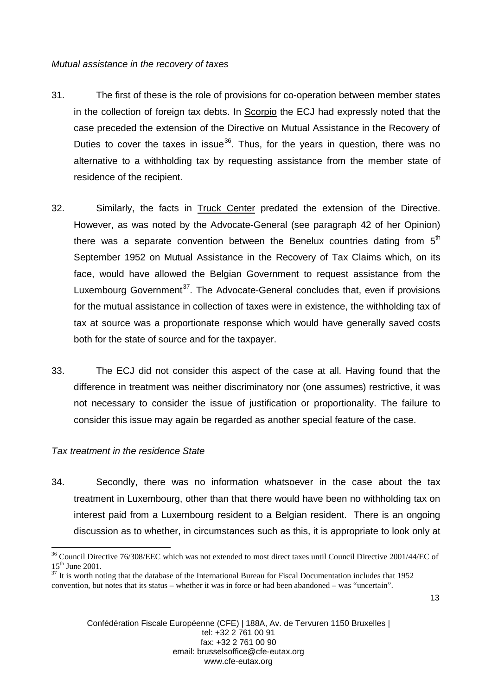#### *Mutual assistance in the recovery of taxes*

- 31. The first of these is the role of provisions for co-operation between member states in the collection of foreign tax debts. In Scorpio the ECJ had expressly noted that the case preceded the extension of the Directive on Mutual Assistance in the Recovery of Duties to cover the taxes in issue<sup>[36](#page-13-0)</sup>. Thus, for the years in question, there was no alternative to a withholding tax by requesting assistance from the member state of residence of the recipient.
- 32. Similarly, the facts in Truck Center predated the extension of the Directive. However, as was noted by the Advocate-General (see paragraph 42 of her Opinion) there was a separate convention between the Benelux countries dating from  $5<sup>th</sup>$ September 1952 on Mutual Assistance in the Recovery of Tax Claims which, on its face, would have allowed the Belgian Government to request assistance from the Luxembourg Government<sup>[37](#page-13-1)</sup>. The Advocate-General concludes that, even if provisions for the mutual assistance in collection of taxes were in existence, the withholding tax of tax at source was a proportionate response which would have generally saved costs both for the state of source and for the taxpayer.
- 33. The ECJ did not consider this aspect of the case at all. Having found that the difference in treatment was neither discriminatory nor (one assumes) restrictive, it was not necessary to consider the issue of justification or proportionality. The failure to consider this issue may again be regarded as another special feature of the case.

### *Tax treatment in the residence State*

34. Secondly, there was no information whatsoever in the case about the tax treatment in Luxembourg, other than that there would have been no withholding tax on interest paid from a Luxembourg resident to a Belgian resident. There is an ongoing discussion as to whether, in circumstances such as this, it is appropriate to look only at

<span id="page-13-0"></span> $36$  Council Directive 76/308/EEC which was not extended to most direct taxes until Council Directive 2001/44/EC of  $15<sup>th</sup>$  June 2001.

<span id="page-13-1"></span> $37$  It is worth noting that the database of the International Bureau for Fiscal Documentation includes that 1952 convention, but notes that its status – whether it was in force or had been abandoned – was "uncertain".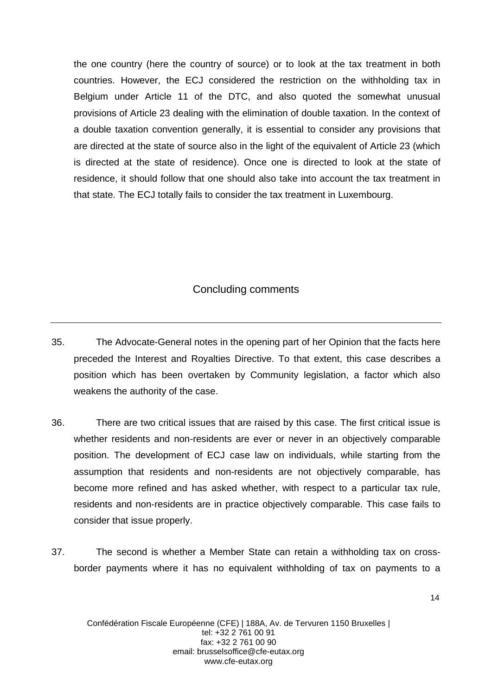the one country (here the country of source) or to look at the tax treatment in both countries. However, the ECJ considered the restriction on the withholding tax in Belgium under Article 11 of the DTC, and also quoted the somewhat unusual provisions of Article 23 dealing with the elimination of double taxation. In the context of a double taxation convention generally, it is essential to consider any provisions that are directed at the state of source also in the light of the equivalent of Article 23 (which is directed at the state of residence). Once one is directed to look at the state of residence, it should follow that one should also take into account the tax treatment in that state. The ECJ totally fails to consider the tax treatment in Luxembourg.

### Concluding comments

- 35. The Advocate-General notes in the opening part of her Opinion that the facts here preceded the Interest and Royalties Directive. To that extent, this case describes a position which has been overtaken by Community legislation, a factor which also weakens the authority of the case.
- 36. There are two critical issues that are raised by this case. The first critical issue is whether residents and non-residents are ever or never in an objectively comparable position. The development of ECJ case law on individuals, while starting from the assumption that residents and non-residents are not objectively comparable, has become more refined and has asked whether, with respect to a particular tax rule, residents and non-residents are in practice objectively comparable. This case fails to consider that issue properly.
- 37. The second is whether a Member State can retain a withholding tax on crossborder payments where it has no equivalent withholding of tax on payments to a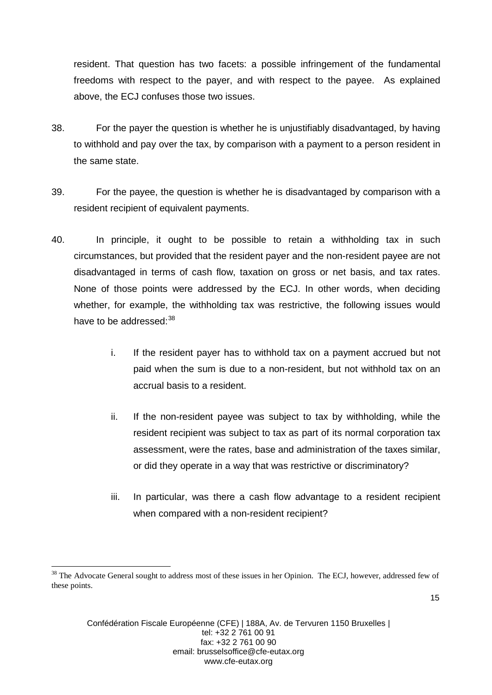resident. That question has two facets: a possible infringement of the fundamental freedoms with respect to the payer, and with respect to the payee. As explained above, the ECJ confuses those two issues.

- 38. For the payer the question is whether he is unjustifiably disadvantaged, by having to withhold and pay over the tax, by comparison with a payment to a person resident in the same state.
- 39. For the payee, the question is whether he is disadvantaged by comparison with a resident recipient of equivalent payments.
- 40. In principle, it ought to be possible to retain a withholding tax in such circumstances, but provided that the resident payer and the non-resident payee are not disadvantaged in terms of cash flow, taxation on gross or net basis, and tax rates. None of those points were addressed by the ECJ. In other words, when deciding whether, for example, the withholding tax was restrictive, the following issues would have to be addressed:  $38$ 
	- i. If the resident payer has to withhold tax on a payment accrued but not paid when the sum is due to a non-resident, but not withhold tax on an accrual basis to a resident.
	- ii. If the non-resident payee was subject to tax by withholding, while the resident recipient was subject to tax as part of its normal corporation tax assessment, were the rates, base and administration of the taxes similar, or did they operate in a way that was restrictive or discriminatory?
	- iii. In particular, was there a cash flow advantage to a resident recipient when compared with a non-resident recipient?

<span id="page-15-0"></span><sup>&</sup>lt;sup>38</sup> The Advocate General sought to address most of these issues in her Opinion. The ECJ, however, addressed few of these points.